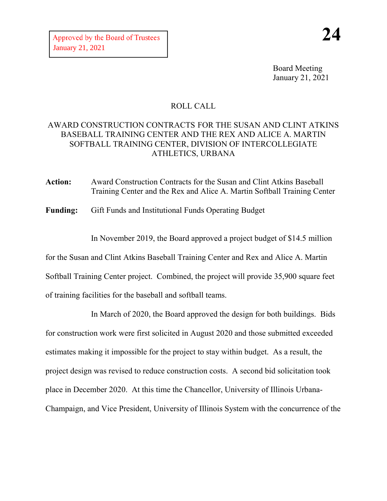Board Meeting January 21, 2021

## ROLL CALL

## AWARD CONSTRUCTION CONTRACTS FOR THE SUSAN AND CLINT ATKINS BASEBALL TRAINING CENTER AND THE REX AND ALICE A. MARTIN SOFTBALL TRAINING CENTER, DIVISION OF INTERCOLLEGIATE ATHLETICS, URBANA

**Action:** Award Construction Contracts for the Susan and Clint Atkins Baseball Training Center and the Rex and Alice A. Martin Softball Training Center

**Funding:** Gift Funds and Institutional Funds Operating Budget

In November 2019, the Board approved a project budget of \$14.5 million

for the Susan and Clint Atkins Baseball Training Center and Rex and Alice A. Martin

Softball Training Center project. Combined, the project will provide 35,900 square feet

of training facilities for the baseball and softball teams.

In March of 2020, the Board approved the design for both buildings. Bids for construction work were first solicited in August 2020 and those submitted exceeded estimates making it impossible for the project to stay within budget. As a result, the project design was revised to reduce construction costs. A second bid solicitation took place in December 2020. At this time the Chancellor, University of Illinois Urbana-Champaign, and Vice President, University of Illinois System with the concurrence of the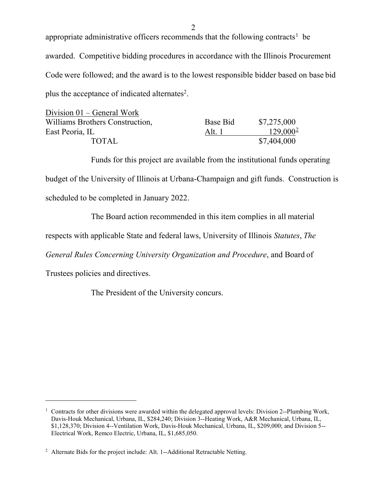appropriate administrative officers recommends that the following contracts<sup>[1](#page-1-0)</sup> be awarded. Competitive bidding procedures in accordance with the Illinois Procurement Code were followed; and the award is to the lowest responsible bidder based on base bid plus the acceptance of indicated alternates<sup>2</sup>.

| Division $01 -$ General Work    |          |             |
|---------------------------------|----------|-------------|
| Williams Brothers Construction, | Base Bid | \$7,275,000 |
| East Peoria, IL                 | Alt. 1   | $129,000^2$ |
| <b>TOTAL</b>                    |          | \$7,404,000 |

Funds for this project are available from the institutional funds operating budget of the University of Illinois at Urbana-Champaign and gift funds. Construction is scheduled to be completed in January 2022.

The Board action recommended in this item complies in all material

respects with applicable State and federal laws, University of Illinois *Statutes*, *The*

*General Rules Concerning University Organization and Procedure*, and Board of

Trustees policies and directives.

 $\overline{a}$ 

The President of the University concurs.

<span id="page-1-0"></span><sup>&</sup>lt;sup>1</sup> Contracts for other divisions were awarded within the delegated approval levels: Division 2--Plumbing Work, Davis-Houk Mechanical, Urbana, IL, \$284,240; Division 3--Heating Work, A&R Mechanical, Urbana, IL, \$1,128,370; Division 4--Ventilation Work, Davis-Houk Mechanical, Urbana, IL, \$209,000; and Division 5-- Electrical Work, Remco Electric, Urbana, IL, \$1,685,050.

<span id="page-1-1"></span><sup>&</sup>lt;sup>2</sup> Alternate Bids for the project include: Alt. 1--Additional Retractable Netting.